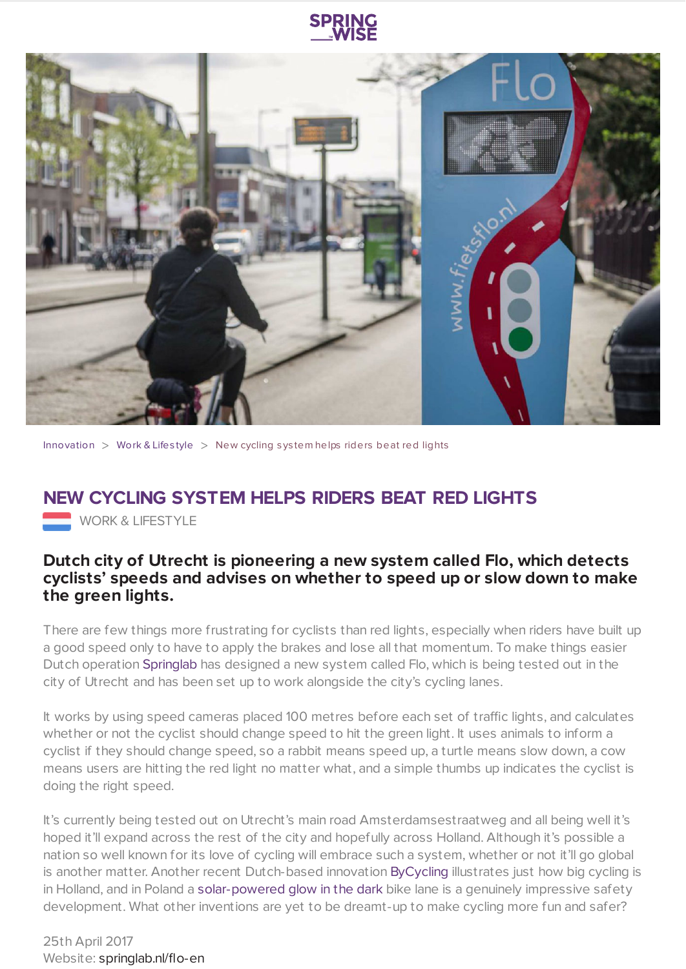



[Innovation](https://www.springwise.com/search?type=innovation)  $>$  [Work](https://www.springwise.com/search?type=innovation§or=work-lifestyle) & Lifestyle  $>$  New cycling system helps riders beat red lights

## **NEW CYCLING SYSTEM HELPS RIDERS BEAT RED LIGHTS**

**WORK & LIFESTYLE** 

## **Dutch city of Utrecht is pioneering a new system called Flo, which detects cyclists' speeds and advises on whether to speed up or slow down to make the green lights.**

There are few things more frustrating for cyclists than red lights, especially when riders have built up a good speed only to have to apply the brakes and lose all that momentum. To make things easier Dutch operation [Springlab](http://springlab.nl/flo-en/) has designed a new system called Flo, which is being tested out in the city of Utrecht and has been set up to work alongside the city's cycling lanes.

It works by using speed cameras placed 100 metres before each set of traffic lights, and calculates whether or not the cyclist should change speed to hit the green light. It uses animals to inform a cyclist if they should change speed, so a rabbit means speed up, a turtle means slow down, a cow means users are hitting the red light no matter what, and a simple thumbs up indicates the cyclist is doing the right speed.

It's currently being tested out on Utrecht's main road Amsterdamsestraatweg and all being well it's hoped it'll expand across the rest of the city and hopefully across Holland. Although it's possible a nation so well known for its love of cycling will embrace such a system, whether or not it'll go global is another matter. Another recent Dutch-based innovation [ByCycling](https://www.springwise.com/bycycling-app-lets-employers-reward-employees-miles-rode/) illustrates just how big cycling is in Holland, and in Poland a [solar-powered](https://www.springwise.com/solar-powered-glow-dark-bike-path-improves-safety/) glow in the dark bike lane is a genuinely impressive safety development. What other inventions are yet to be dreamt-up to make cycling more fun and safer?

25th April 2017 Website: [springlab.nl/flo-en](http://springlab.nl/flo-en)